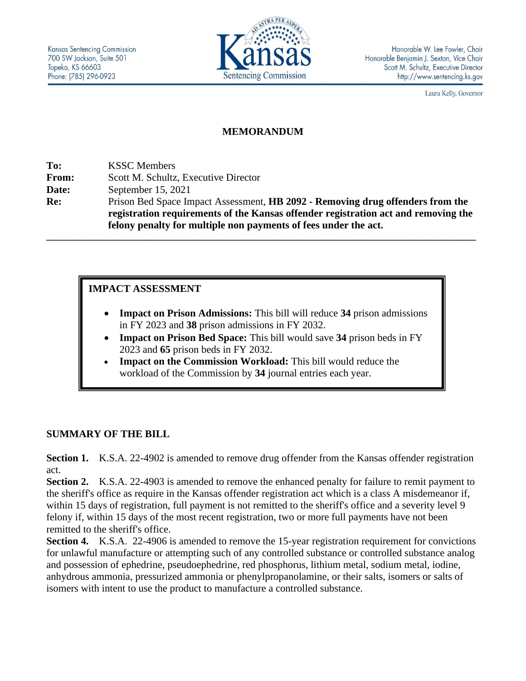

Laura Kelly, Governor

### **MEMORANDUM**

**To:** KSSC Members **From:** Scott M. Schultz, Executive Director **Date:** September 15, 2021 **Re:** Prison Bed Space Impact Assessment, **HB 2092 - Removing drug offenders from the registration requirements of the Kansas offender registration act and removing the felony penalty for multiple non payments of fees under the act.**

**\_\_\_\_\_\_\_\_\_\_\_\_\_\_\_\_\_\_\_\_\_\_\_\_\_\_\_\_\_\_\_\_\_\_\_\_\_\_\_\_\_\_\_\_\_\_\_\_\_\_\_\_\_\_\_\_\_\_\_\_\_\_\_\_\_\_\_\_\_\_\_\_\_\_\_\_\_\_\_\_\_\_\_\_\_\_\_\_\_\_\_**

## **IMPACT ASSESSMENT**

- **Impact on Prison Admissions:** This bill will reduce **34** prison admissions in FY 2023 and **38** prison admissions in FY 2032.
- **Impact on Prison Bed Space:** This bill would save **34** prison beds in FY 2023 and **65** prison beds in FY 2032.
- **Impact on the Commission Workload:** This bill would reduce the workload of the Commission by **34** journal entries each year.

## **SUMMARY OF THE BILL**

**Section 1.** K.S.A. 22-4902 is amended to remove drug offender from the Kansas offender registration act.

**Section 2.** K.S.A. 22-4903 is amended to remove the enhanced penalty for failure to remit payment to the sheriff's office as require in the Kansas offender registration act which is a class A misdemeanor if, within 15 days of registration, full payment is not remitted to the sheriff's office and a severity level 9 felony if, within 15 days of the most recent registration, two or more full payments have not been remitted to the sheriff's office.

**Section 4.** K.S.A. 22-4906 is amended to remove the 15-year registration requirement for convictions for unlawful manufacture or attempting such of any controlled substance or controlled substance analog and possession of ephedrine, pseudoephedrine, red phosphorus, lithium metal, sodium metal, iodine, anhydrous ammonia, pressurized ammonia or phenylpropanolamine, or their salts, isomers or salts of isomers with intent to use the product to manufacture a controlled substance.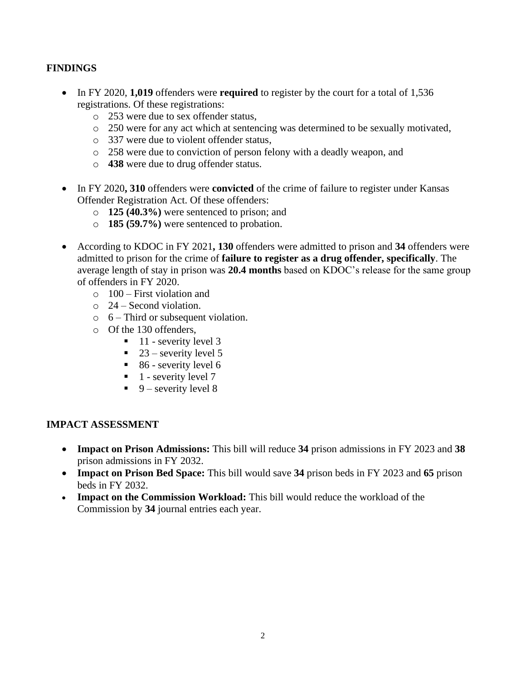# **FINDINGS**

- In FY 2020, **1,019** offenders were **required** to register by the court for a total of 1,536 registrations. Of these registrations:
	- o 253 were due to sex offender status,
	- o 250 were for any act which at sentencing was determined to be sexually motivated,
	- o 337 were due to violent offender status,
	- o 258 were due to conviction of person felony with a deadly weapon, and
	- o **438** were due to drug offender status.
- In FY 2020, 310 offenders were **convicted** of the crime of failure to register under Kansas Offender Registration Act. Of these offenders:
	- o **125 (40.3%)** were sentenced to prison; and
	- o **185 (59.7%)** were sentenced to probation.
- According to KDOC in FY 2021**, 130** offenders were admitted to prison and **34** offenders were admitted to prison for the crime of **failure to register as a drug offender, specifically**. The average length of stay in prison was **20.4 months** based on KDOC's release for the same group of offenders in FY 2020.
	- $\circ$  100 First violation and
	- $\circ$  24 Second violation.
	- $\circ$  6 Third or subsequent violation.
	- o Of the 130 offenders,
		- $\blacksquare$  11 severity level 3
		- $\blacksquare$  23 severity level 5
		- $\blacksquare$  86 severity level 6
		- $\blacksquare$  1 severity level 7
		- $\blacksquare$  9 severity level 8

## **IMPACT ASSESSMENT**

- **Impact on Prison Admissions:** This bill will reduce **34** prison admissions in FY 2023 and **38** prison admissions in FY 2032.
- **Impact on Prison Bed Space:** This bill would save **34** prison beds in FY 2023 and **65** prison beds in FY 2032.
- **Impact on the Commission Workload:** This bill would reduce the workload of the Commission by **34** journal entries each year.